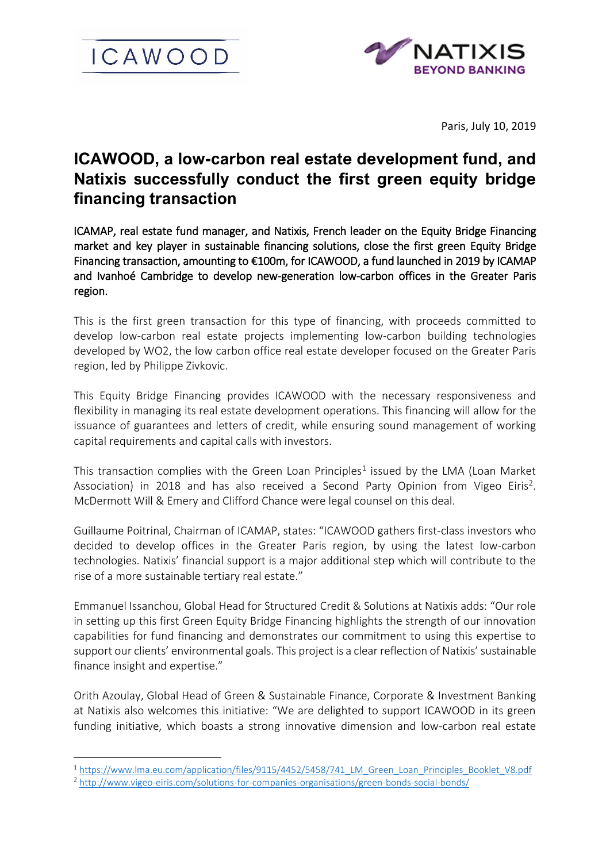



Paris, July 10, 2019

# **ICAWOOD, a low-carbon real estate development fund, and Natixis successfully conduct the first green equity bridge financing transaction**

ICAMAP, real estate fund manager, and Natixis, French leader on the Equity Bridge Financing market and key player in sustainable financing solutions, close the first green Equity Bridge Financing transaction, amounting to €100m, for ICAWOOD, a fund launched in 2019 by ICAMAP and Ivanhoé Cambridge to develop new-generation low-carbon offices in the Greater Paris region.

This is the first green transaction for this type of financing, with proceeds committed to develop low-carbon real estate projects implementing low-carbon building technologies developed by WO2, the low carbon office real estate developer focused on the Greater Paris region, led by Philippe Zivkovic.

This Equity Bridge Financing provides ICAWOOD with the necessary responsiveness and flexibility in managing its real estate development operations. This financing will allow for the issuance of guarantees and letters of credit, while ensuring sound management of working capital requirements and capital calls with investors.

This transaction complies with the Green Loan Principles<sup>1</sup> issued by the LMA (Loan Market Association) in 2018 and has also received a Second Party Opinion from Vigeo Eiris<sup>2</sup>. McDermott Will & Emery and Clifford Chance were legal counsel on this deal.

Guillaume Poitrinal, Chairman of ICAMAP, states: "ICAWOOD gathers first-class investors who decided to develop offices in the Greater Paris region, by using the latest low-carbon technologies. Natixis' financial support is a major additional step which will contribute to the rise of a more sustainable tertiary real estate."

Emmanuel Issanchou, Global Head for Structured Credit & Solutions at Natixis adds: "Our role in setting up this first Green Equity Bridge Financing highlights the strength of our innovation capabilities for fund financing and demonstrates our commitment to using this expertise to support our clients' environmental goals. This project is a clear reflection of Natixis' sustainable finance insight and expertise."

Orith Azoulay, Global Head of Green & Sustainable Finance, Corporate & Investment Banking at Natixis also welcomes this initiative: "We are delighted to support ICAWOOD in its green funding initiative, which boasts a strong innovative dimension and low-carbon real estate

1

<sup>&</sup>lt;sup>1</sup> [https://www.lma.eu.com/application/files/9115/4452/5458/741\\_LM\\_Green\\_Loan\\_Principles\\_Booklet\\_V8.pdf](https://www.lma.eu.com/application/files/9115/4452/5458/741_LM_Green_Loan_Principles_Booklet_V8.pdf)

<sup>2</sup> <http://www.vigeo-eiris.com/solutions-for-companies-organisations/green-bonds-social-bonds/>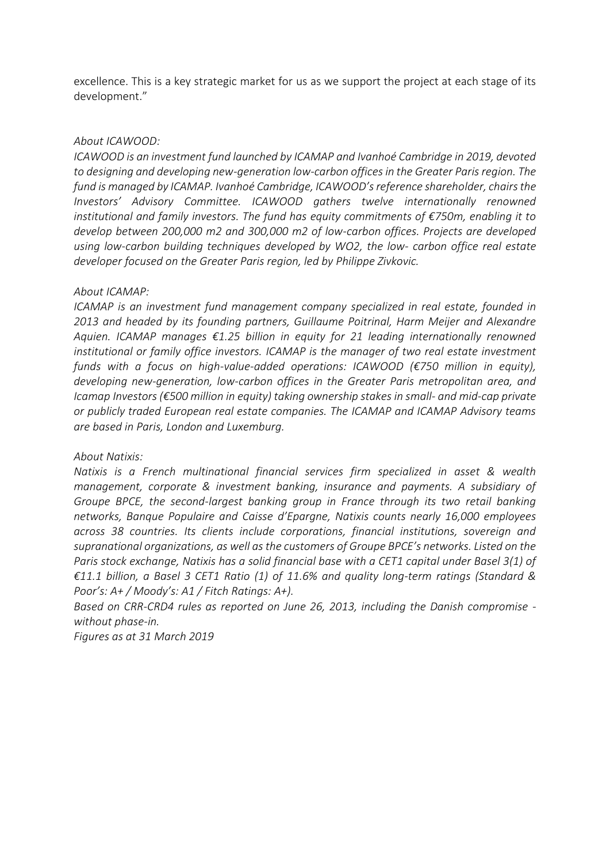excellence. This is a key strategic market for us as we support the project at each stage of its development."

### *About ICAWOOD:*

*ICAWOOD is an investment fund launched by ICAMAP and Ivanhoé Cambridge in 2019, devoted to designing and developing new-generation low-carbon offices in the Greater Paris region. The fund is managed by ICAMAP. Ivanhoé Cambridge, ICAWOOD's reference shareholder, chairs the Investors' Advisory Committee. ICAWOOD gathers twelve internationally renowned institutional and family investors. The fund has equity commitments of €750m, enabling it to develop between 200,000 m2 and 300,000 m2 of low-carbon offices. Projects are developed using low-carbon building techniques developed by WO2, the low- carbon office real estate developer focused on the Greater Paris region, led by Philippe Zivkovic.*

#### *About ICAMAP:*

*ICAMAP is an investment fund management company specialized in real estate, founded in 2013 and headed by its founding partners, Guillaume Poitrinal, Harm Meijer and Alexandre Aquien. ICAMAP manages €1.25 billion in equity for 21 leading internationally renowned institutional or family office investors. ICAMAP is the manager of two real estate investment funds with a focus on high-value-added operations: ICAWOOD (€750 million in equity), developing new-generation, low-carbon offices in the Greater Paris metropolitan area, and Icamap Investors (€500 million in equity) taking ownership stakes in small- and mid-cap private or publicly traded European real estate companies. The ICAMAP and ICAMAP Advisory teams are based in Paris, London and Luxemburg.*

## *About Natixis:*

*Natixis is a French multinational financial services firm specialized in asset & wealth management, corporate & investment banking, insurance and payments. A subsidiary of Groupe BPCE, the second-largest banking group in France through its two retail banking networks, Banque Populaire and Caisse d'Epargne, Natixis counts nearly 16,000 employees across 38 countries. Its clients include corporations, financial institutions, sovereign and supranational organizations, as well as the customers of Groupe BPCE's networks. Listed on the Paris stock exchange, Natixis has a solid financial base with a CET1 capital under Basel 3(1) of €11.1 billion, a Basel 3 CET1 Ratio (1) of 11.6% and quality long-term ratings (Standard & Poor's: A+ / Moody's: A1 / Fitch Ratings: A+).*

*Based on CRR-CRD4 rules as reported on June 26, 2013, including the Danish compromise without phase-in.*

*Figures as at 31 March 2019*